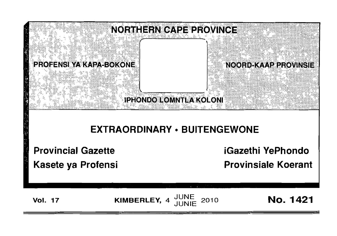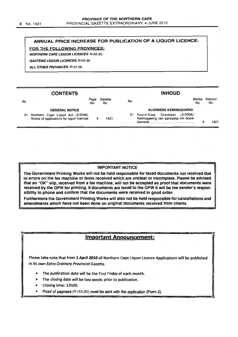## ANNUAL PRICE INCREASE FOR PUBLICATION OF A LIQUOR LICENCE:

FOR THE FOLLOWING PROVINCES:

NORTHERN CAPE LIQUOR LICENCES: R165.80.

GAUTENG LIQUOR LICENCES: R165.80.

ALL OTHER PROVINCES: R101.06

#### **CONTENTS** INHOUD Bladsy Koerant No. Page Gazette age Gazene - No.<br>No. No. - No. No. No. GENERAL NOTICE ALGEMENE KENNISGEWING 51 Northern Cape Liquor Act (2/2008): 51 Noord-Kaap Drankwet (2/2008): Kennisgewing van aansoeke om drank-Notice of applications for liquor licences 4 1421  $l$  isensies  $4$  1421

## IMPORTANT NOTICE

The Government Printing Works will not be held responsible for faxed documents not received due to errors on the fax machine or faxes received which are unclear or incomplete. Please be advised that an "OK" slip, received from a fax machine, will not be accepted as proof that documents were received by the GPW for printing. If documents are faxed to the GPW it will be the sender's responsibility to phone and confirm that the documents were received in good order.

Furthermore the Government Printing Works will also not be held responsible for cancellations and amendments which have not been done on original documents received from clients.

# Important Announcement:

Please take note that from 1. *April 2010* all Northern Cape Liquor Licence Applications will be published in its own Extra Ordinary Provincial Gazette.

- The publication date will be the First Friday of each month.
- The closing date will be two weeks prior to publication.
- Closing time: 12hOo.
- Proof of payment  $(R165,80)$  must be sent with the application (Form 2).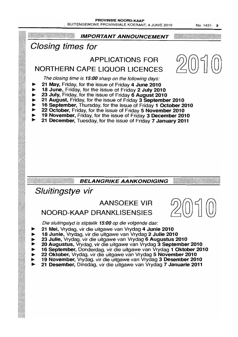No. 1421 3

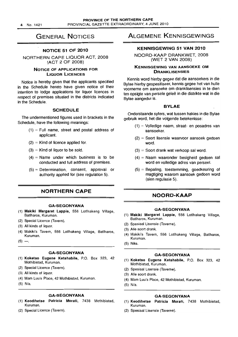### PROVINCE OF THE NORTHERN CAPE PROVINCIAL GAZETTE EXTRAORDINARY. 4 JUNE 2010

# GENERAL NOTICES

## NOTICE 51 OF 2010

NORTHERN CAPE LIQUOR ACT, 2008 (ACT 2 OF 2008)

## NOTICE OF APPLICATIONS FOR LIQUOR LICENCES

Notice is hereby given that the applicants specified in the Schedule hereto have given notice of their intention to lodge applications for liquor licences in respect of premises situated in the districts indicated in the Schedule.

## SCHEDULE

The undermentioned figures used in brackets in the Schedule. have the following meanings:

- $(1)$  = Full name, street and postal address of applicant.
- $(2)$  = Kind of licence applied for.
- $(3)$  = Kind of liquor to be sold.
- $(4)$  = Name under which business is to be conducted and full address of premises.
- $(5)$  = Determination, consent, approval or authority applied for (see regulation 5).

# NORTHERN CAPE

## GA-SEGONYANA

- (1) Makiki Margaret lappie, 556 Lotlhakeng Village, Batlharos, Kuruman.
- (2) Special Licence (Tavern).
- (3) All kinds of liquor.
- (4) Makiki's Tavern, 556 Lotlhakeng Village, Batlharos, Kuruman.
- $(5)$  —.

## GA-SEGONYANA

- (1) Koketso Eugene Ketshabile, P.O. Box 323, 42 Mothibistad, Kuruman.
- (2) Special Licence (Tavern).
- (3) All kinds of liquor,
- (4) Mam Luu's Place, 42 Mothibistad, Kuruman.
- (5) N/a.

## GA-SEGONYANA

- (1) Keodihetse Patricia Morati, 7438 Mothibistad, Kuruman.
- (2) Special Licence (Tavern).

# ALGEMENE KENNISGEWINGS

## KENNISGEWING 51 VAN 2010

NOORD-KAAP DRANKWET, 2008 (WET 2 VAN 2008)

## KENNISGEWING VAN AANSOEKE OM **DRANKLISENSIES**

Kennis word hierby gegee dat die aansoekers in die Bylae hierby gespesifiseer. kennis gegee het van hulle voorneme om aansoeke am dranklisensies in ta dien ten opsigte van persele geleë in die distrikte wat in die Bylae aangedui is.

## BYLAE

Onderstaande syfers, wat tussen hakies in die Bylae gebruik word, het die volgende betekenisse:

- $(1)$  = Volledige naam, straat- en posadres van aansoeker.
- $(2)$  = Soort lisensie waarvoor aansoek gedoen word.
- $(3)$  = Soort drank wat verkoop sal word.
- (4) = Naam waaronder besigheid gedoen sal word en volledige adres van perseel.
- $(5)$  = Bepaling, toestemming, goedkeuring of magtiging waarom aansoek gedoen word (sien regulasie 5).

## NOORD-KAAP

#### **GA-SEGONYANA**

- (1) Makiki Margaret Lappie, 556 Lotlhakeng Village. Batlharos, Kuruman.
- (2) Spesiaal Lisensie (Taverne).
- (3) Aile soort drank.
- (4) Makiki's Tavern, 556 Lotlhakeng Village, Batlharos, Kuruman.
- (5) Niks.

### GA-SEGONYANA

- (1) Koketso Eugene Ketshabile, P.O. Box 323, 42 Mothibistad, Kuruman.
- (2) Spesiaal Lisensie (Taverne).
- (3) Aile soort drank.
- (4) Mam Luu's Place, 42 Mothibistad, Kuruman.
- (5) N/a.

## GA··SEGONYANA

- (1) Keodihetse Patricia Morati, 7438 Mothibistad, Kuruman.
- (2) Spesiaal Lisensie (Taverne).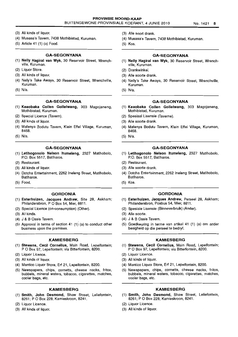- (3) All kinds of liquor.
- (4) Musasa's Tavern, 7438 Mothibistad, Kuruman.
- (5) Article 41 (1) (a) Food.

### **GA-SEGONYANA**

- (1) **Nelly Hagiral van Wyk,** 30 Reservoir Street, Wrenchville, Kuruman.
- (2) Liquor Store.
- (3) All kinds of liquor.
- (4) Nelly's Take Aways, 30 Reservoir Street, Wrenchville, Kuruman.
- (5) N/a.

## **GA-SEGONYANA**

- (1) **Keaobaka Collen Gollelwang,** *303* Magojaneng, Mothibistad, Kuruman.
- (2) Special Licence (Tavern).
- (3) All kinds of liquor.
- (4) Mafenya Bodutu Tavern, Klein Eftel Village, Kuruman, 8468.
- (5) N/a.

## **GA-SEGONYANA**

- (1) **Letlhogonolo Nelson Itumeleng,** 2327 Matlhobolo, P.O. Box 5517, Batlharos.
- (2) Restaurant.
- (3) All kinds of liquor.
- (4) Dotcha Entertainment, 2262 Ineleng Street, Matlhobolo, Batlharos.
- (5) Food.

#### **GORDONIA**

- (1) **Esterhuizen, Jacques Andrew,** Site 28, Askham; Philandersbron, PO Box 54, Mier, 8811.
- (2) Special Licence (on-consumption) (Other).
- (3) All kinds.
- (4) J & B Oasis Tavern. .
- (5) Approval in terms of section 41 (1) (a) to conduct other business upon the premises.

### **KAMIESBERG**

- (1) **Stewens, Cecil Cornelius,** Main Road, Lepelfontein; POBox 97, Lepelfontein; via Bitterfontein, *8200.*
- (2) Liquor Licence.
- (3) All kinds of liquor.
- (4) Mantico Liquor Store, Erf 21, Lepelfontein, *8200.*
- (5) Newspapers, chips, cornetts, cheese nacks, fritos, bubbels, mineral waters, tobacco, cigarettes, matches, cooler bags, etc.

#### **KAMIESBERG**

- (1) **Smith, John Desmond,** Shaw Street, Leliefontein, 8261; POBox 228, Kamieskroon, 8241.
- (2) Liquor Licence.
- (3) All kinds of liquor.
- (3) Aile soort drank.
- (4) Musasa's Tavern, 7438 Mothibistad, Kuruman.
- (5) Kos.

## **GA-SEGONYANA**

- (1) **Nelly Hagiral van Wyk,** 30 Reservoir Street, Wrenchville, Kuruman.
- (2) Drankwinkel.
- (3) Aile soorte drank.
- (4) Nelly's Take Aways, 30 Reservoir Street, Wrenchville, Kuruman.
- (5) N/a.

#### **GA-SEGONYANA**

- (1) **Keaobaka Collen Gollelwang,** 303 Magojaneng, Mothibistad, Kuruman.
- (2) Spesiaal Lisensie (Taverne).
- (3) Aile soorte drank.
- (4) Mafenya Bodutu Tavern, Klein Eftel Village, Kuruman, 8468.
- (5) N/a.

## **GA-SEGONYANA**

- (1) **Letlhogonolo Nelson Itumeleng,** 2327 Matlhobolo, P.O. Box 5517, Batlharos.
- (2) Restaurant.
- (3) Aile soorte drank.
- (4) Dotcha Entertainment, 2262 Ineleng Street, Matlhobolo, Batlharos.
- (5) Kos.

#### **GORDONIA**

- (1) **Esterhuizen, Jacques Andrew,** Perseel 28, Askham; Philandersbron, Posbus 54, Mier, 8811.
- (2) Spesiale Lisensie (Binneverbruik) (Ander).
- (3) Aile soorte.
- (4) J & B Oasis Tavern.
- (5) Goedkeuring in terme van artikel 41 (1) (a) om ander besigheid op die perseel te bedryf.

#### **KAMIESBERG**

- (1) **Stewens, Cecil Cornelius,** Main Road, Lepelfontein; P O Box 97, Lepelfontein; via Bitterfontein, 8200.
- (2) Liquor Licence.
- (3) All kinds of liquor.
- (4) Mantico Liquor Store, Erf 21, Lepelfontein, *8200.*
- (5) Newspapers, chips, cornetts, cheese nacks, fritos, bubbels, mineral waters, tobacco, cigarettes, matches, cooler bags, etc.

## **KAMIESBERG**

- (1) **Smith, John Desmond,** Shaw Street, Leliefontein, 8261; POBox 228, Kamieskroon, 8241.
- (2) Liquor Licence.
- (3) All kinds of liquor.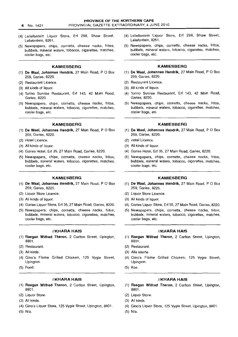6 No. 1421

- (4) Leliefontein Liquor Store, Erf 298, Shaw Street, Leliefontein, 8261.
- (5) Newspapers, chips, cornetts, cheese nacks, tritos, bubbels, mineral waters, tobacco, cigarettes, matches, cooler bags, etc.

## **KAMIESBERG**

- (1) De Waal, Johannes Hendrik, 27 Main Road, P O Box 259, Garies, 8220.
- (2) Restaurant Licence.
- (3) All kinds of liquor.
- (4) Torino Sunrise Restaurant, Erf 143, 42 Main Road, Garies, 8220.
- (5) Newspapers, chips, cornetts, cheese nacks, fritos, bubbels, mineral waters, tobacco, cigarettes, matches, cooler bags, etc.

### KAMIESBERG

- (1) De Waal, Johannes Hendrik, 27 Main Road, P O Box 259, Garies, 8220.
- (2) Hotel Licence.
- (3) All kinds of liquor.
- (4) Garies Hotel, Erf 35, 27 Main Road, Garies, 8220.
- (5) Newspapers, chips, cornetts, cheese nacks, fritos, bubbels, mineral waters, tobacco, cigarettes, matches, cooler bags, etc.

## KAMIESBERG

- (1) De Waal, Johannes Hendrik, 27 Main Road, P O Box 259, Garies, 8220.
- (2) Liquor Store Licence.
- (3) All kinds of liquor.
- (4) Garies Liquor Store, Erf 35,27 Main Road, Garies, 8220.
- (5) Newspapers, chips, cornetts, cheese nacks, fritos, bubbels, mineral waters, tobacco, cigarettes, matches, cooler bags, etc.

#### //KHARA HAIS

- (1) Raegan Wilfred Theron, 2 Carlton Street, Upington, 8801.
- (2) Restaurant.
- (3) All kinds.
- (4) Gino's Flame Grilled Chicken, 125 Vygie Street, Upington.
- (5) Food.

## //KHARA HAIS

- (1) Raegan Wilfred Theron, 2 Carlton Street, Upington, 8801.
- (2) Liquor Store.
- (3) All kinds.

(5) N/a.

(4) Gino's Liquor Store, 125 Vygie Street, Upington, 8801.

- (4) Leliefontein Liquor Store, Erf 298, Shaw Street, Leliefontein, 8261.
- (5) Newspapers, chips, cornetts, cheese nacks, fritos, bubbels, mineral waters, tobacco, cigarettes, matches, cooler bags, etc.

### KAMIESBERG

- (1) De Waal, Johannes Hendrik, 27 Main Road, P O Box 259, Garies, 8220.
- (2) Restaurant Licence.
- (3) All kinds of liquor.
- (4) Torino Sunrise Restaurant, Erf 143, 42 Main Road, Garies, 8220.
- (5) Newspapers, chips, cornetts, cheese nacks, fritos, bubbels, mineral waters, tobacco, cigarettes, matches, cooler bags, etc.

## KAMIESBERG

- (1) De Waal, Johannes Hendrik, 27 Main Road, P O Box 259, Garies, 8220.
- (2) Hotel Licence.
- (3) All kinds of liquor.
- (4) Garies Hotel, Erf 35, 27 Main Road, Garies, 8220.
- (5) Newspapers, chips, cornetts, cheese nacks, fritos, bubbels, mineral waters, tobacco, cigarettes, matches, cooler bags, etc.

#### KAMIESBERG

- (1) De Waal, Johannes Hendrik, 27 Main Road, P O Box 259, Garies, 8220.
- (2) Liquor Store Licence.
- (3) All kinds of liquor.
- (4) Garies Liquor Store, Erf 35, 27 Main Road, Garies, 8220.
- (5) Newspapers, chips, cornetts, cheese nacks, fritos, bubbels, mineral waters, tobacco, cigarettes, matches, cooler bags, etc.

### //KHARA HAIS

- (1) Raegan Wilfred Theron, 2 Carlton Street, Upington, 8801.
- (2) Restaurant.
- (3) Aile soorte.
- (4) Gino's Flame Grilled Chicken, 125 Vygie Street, Upington.
- (5) Kos.

## //KHARA HAIS

- (1) Raegan Wilfred Theron, 2 Carlton Street, Upington, 8801.
- (2) Liquor Store.
- (3) All kinds.
- (4) Gino's Liquor Store, 125 Vygie Street, Upington, 8801.
- (5) N/a.